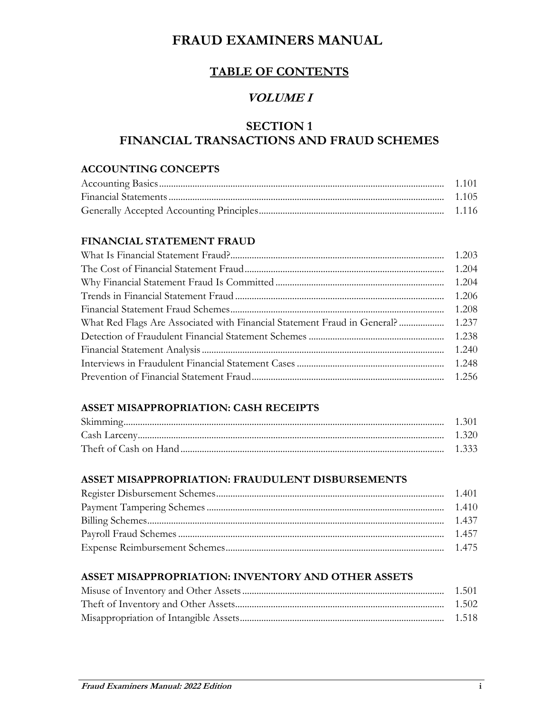## **TABLE OF CONTENTS**

## **VOLUME I**

## **SECTION 1 FINANCIAL TRANSACTIONS AND FRAUD SCHEMES**

#### **ACCOUNTING CONCEPTS**

#### **FINANCIAL STATEMENT FRAUD**

| What Red Flags Are Associated with Financial Statement Fraud in General?  1.237 |  |
|---------------------------------------------------------------------------------|--|
|                                                                                 |  |
|                                                                                 |  |
|                                                                                 |  |
|                                                                                 |  |

### **ASSET MISAPPROPRIATION: CASH RECEIPTS**

| -1-320- |
|---------|
|         |

#### **ASSET MISAPPROPRIATION: FRAUDULENT DISBURSEMENTS**

#### **ASSET MISAPPROPRIATION: INVENTORY AND OTHER ASSETS**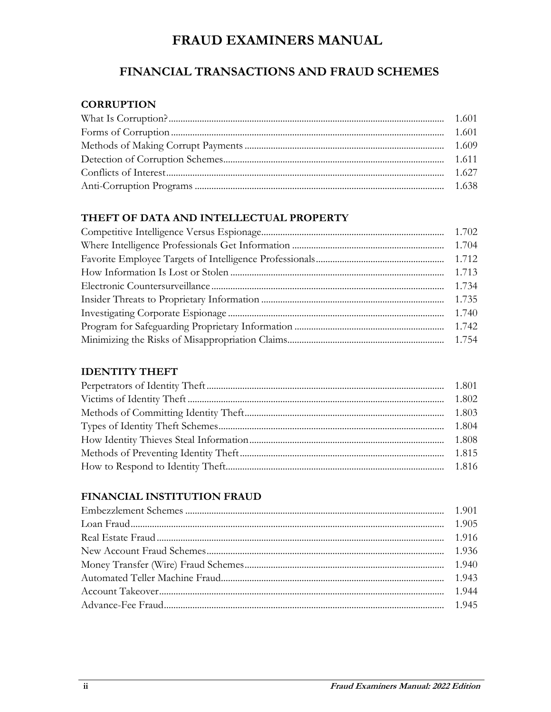## FINANCIAL TRANSACTIONS AND FRAUD SCHEMES

#### **CORRUPTION**

## THEFT OF DATA AND INTELLECTUAL PROPERTY

| 1.712 |
|-------|
| 1.713 |
| 1.734 |
| 1.735 |
| 1.740 |
|       |
|       |

#### **IDENTITY THEFT**

## FINANCIAL INSTITUTION FRAUD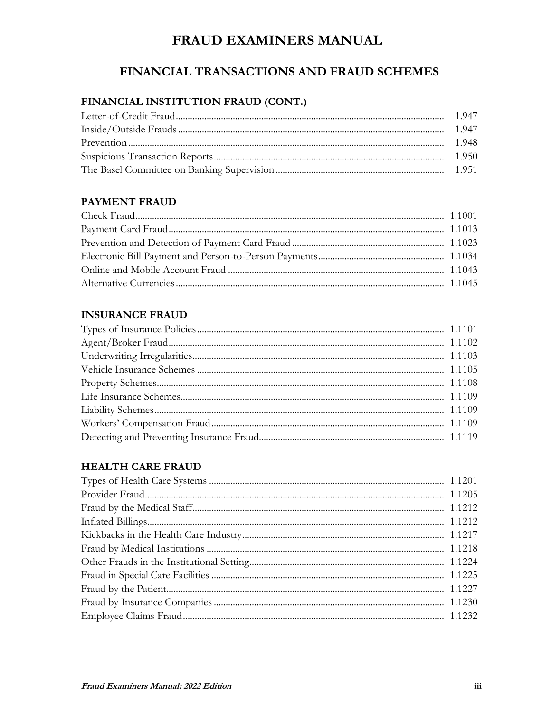## FINANCIAL TRANSACTIONS AND FRAUD SCHEMES

## FINANCIAL INSTITUTION FRAUD (CONT.)

### **PAYMENT FRAUD**

#### **INSURANCE FRAUD**

#### **HEALTH CARE FRAUD**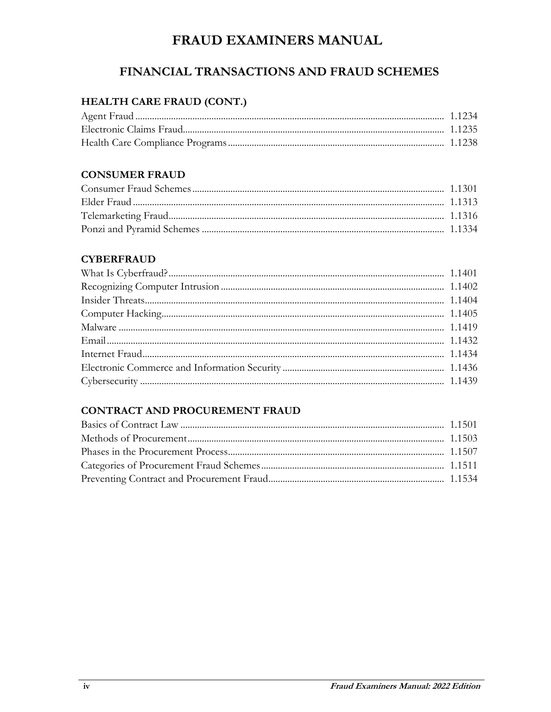## FINANCIAL TRANSACTIONS AND FRAUD SCHEMES

## HEALTH CARE FRAUD (CONT.)

#### **CONSUMER FRAUD**

#### **CYBERFRAUD**

## **CONTRACT AND PROCUREMENT FRAUD**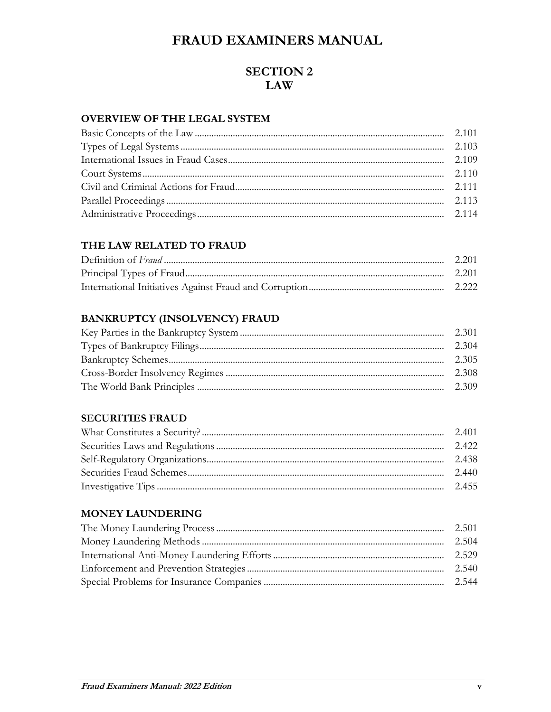## **SECTION 2 LAW**

## **OVERVIEW OF THE LEGAL SYSTEM**

#### THE LAW RELATED TO FRAUD

## **BANKRUPTCY (INSOLVENCY) FRAUD**

#### **SECURITIES FRAUD**

#### **MONEY LAUNDERING**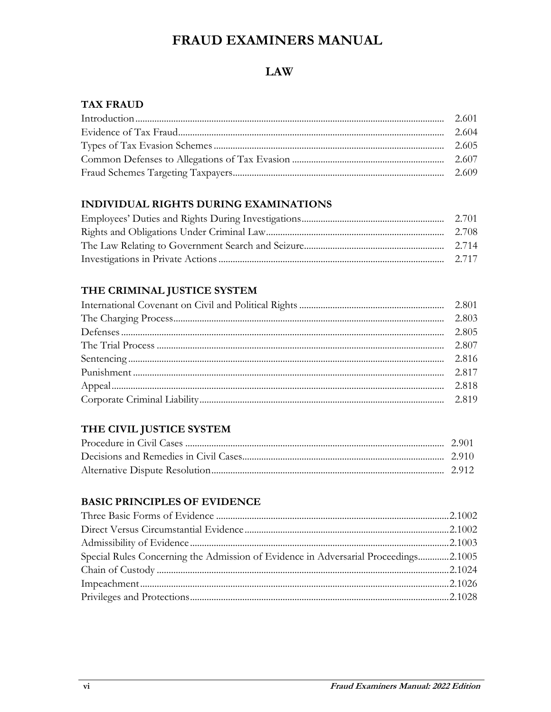## **LAW**

#### **TAX FRAUD**

### **INDIVIDUAL RIGHTS DURING EXAMINATIONS**

#### THE CRIMINAL JUSTICE SYSTEM

### THE CIVIL JUSTICE SYSTEM

### **BASIC PRINCIPLES OF EVIDENCE**

| Special Rules Concerning the Admission of Evidence in Adversarial Proceedings2.1005 |  |
|-------------------------------------------------------------------------------------|--|
|                                                                                     |  |
|                                                                                     |  |
|                                                                                     |  |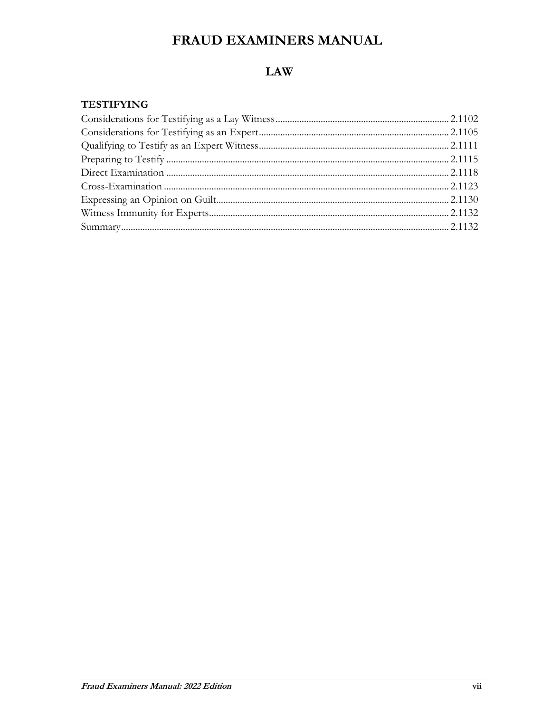## **LAW**

#### **TESTIFYING**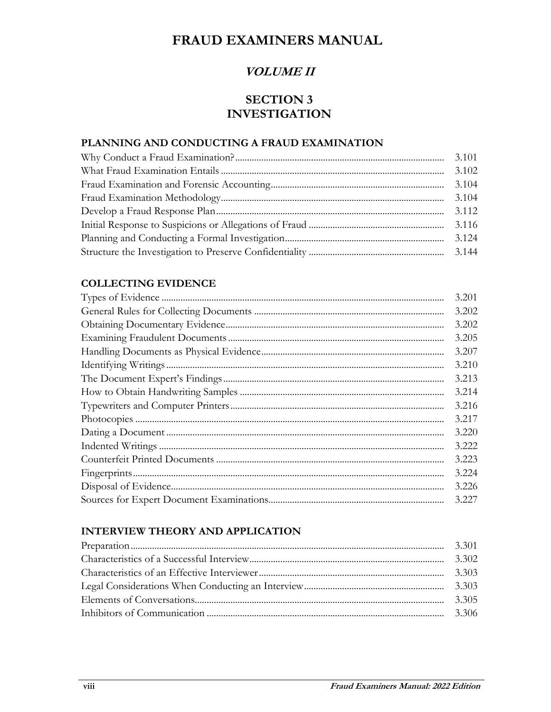## **VOLUME II**

## **SECTION 3 INVESTIGATION**

## PLANNING AND CONDUCTING A FRAUD EXAMINATION

| 3.101 |
|-------|
| 3.102 |
| 3.104 |
| 3.104 |
| 3.112 |
| 3.116 |
| 3.124 |
|       |

#### **COLLECTING EVIDENCE**

| 3.201 |
|-------|
| 3.202 |
| 3.202 |
| 3.205 |
| 3.207 |
| 3.210 |
| 3.213 |
| 3.214 |
| 3.216 |
| 3.217 |
| 3.220 |
| 3.222 |
| 3.223 |
| 3.224 |
| 3.226 |
| 3.227 |

#### **INTERVIEW THEORY AND APPLICATION**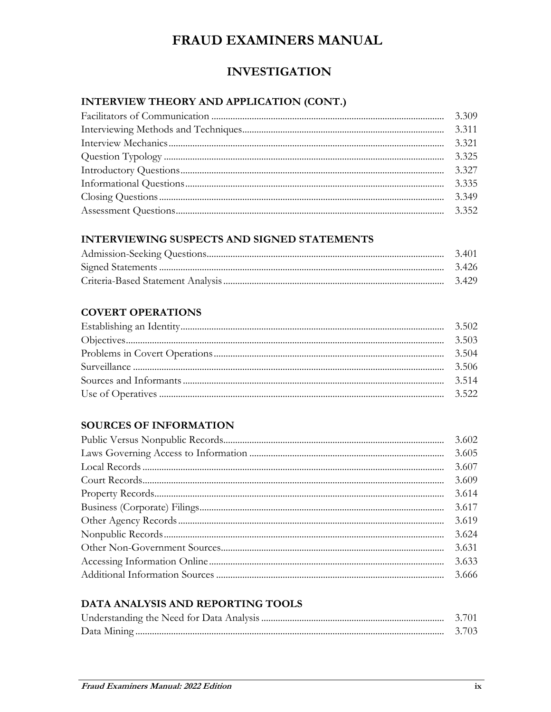## **INVESTIGATION**

## INTERVIEW THEORY AND APPLICATION (CONT.)

| 3.309 |
|-------|
| 3.311 |
| 3.321 |
| 3.325 |
| 3.327 |
| 3.335 |
| 3.349 |
|       |

### **INTERVIEWING SUSPECTS AND SIGNED STATEMENTS**

### **COVERT OPERATIONS**

## **SOURCES OF INFORMATION**

|  | 3.602 |
|--|-------|
|  | 3.605 |
|  | 3.607 |
|  | 3.609 |
|  | 3.614 |
|  | 3.617 |
|  | 3.619 |
|  | 3.624 |
|  | 3.631 |
|  | 3.633 |
|  |       |

## DATA ANALYSIS AND REPORTING TOOLS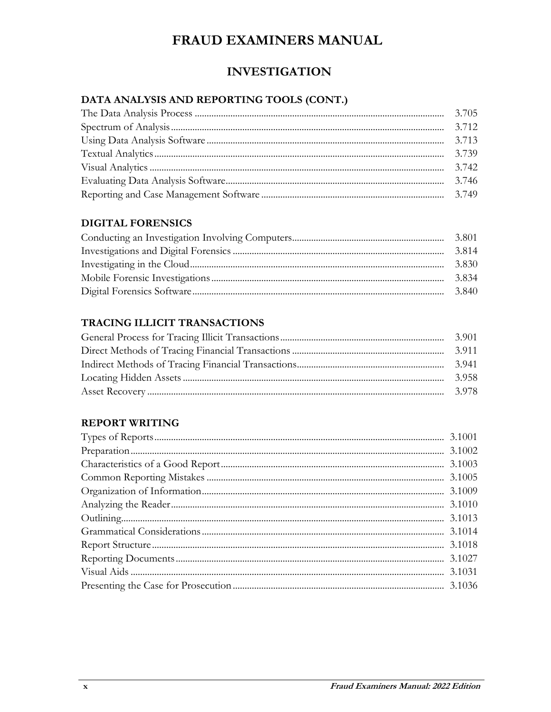## **INVESTIGATION**

## DATA ANALYSIS AND REPORTING TOOLS (CONT.)

### **DIGITAL FORENSICS**

| 3.814 |
|-------|
| 3.830 |
| 3.834 |
| 3.840 |

## TRACING ILLICIT TRANSACTIONS

| 3.941 |
|-------|
| 3958  |
|       |

## **REPORT WRITING**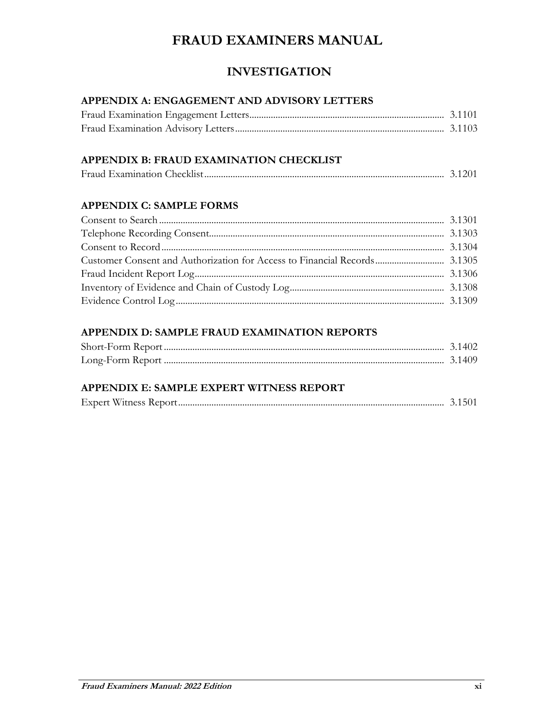## **INVESTIGATION**

### **APPENDIX A: ENGAGEMENT AND ADVISORY LETTERS**

## **APPENDIX B: FRAUD EXAMINATION CHECKLIST**

|--|--|--|

### **APPENDIX C: SAMPLE FORMS**

## **APPENDIX D: SAMPLE FRAUD EXAMINATION REPORTS**

## **APPENDIX E: SAMPLE EXPERT WITNESS REPORT**

| $\blacksquare$<br>Expert<br>W |  |  |
|-------------------------------|--|--|
|-------------------------------|--|--|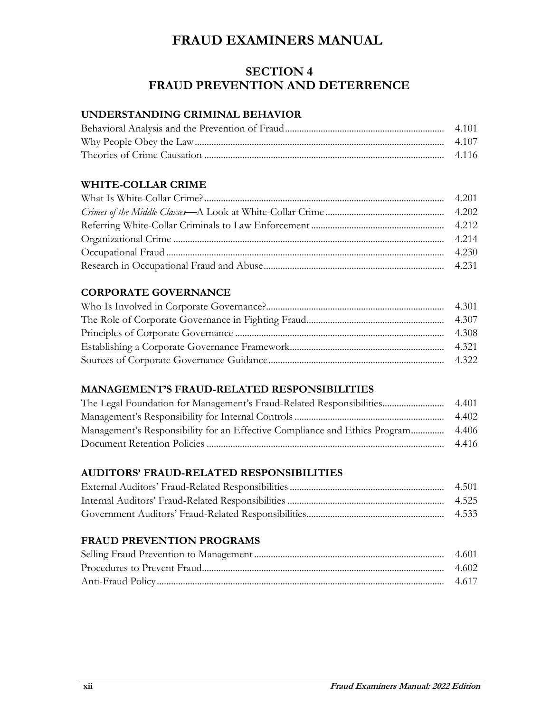## **SECTION 4 FRAUD PREVENTION AND DETERRENCE**

#### **UNDERSTANDING CRIMINAL BEHAVIOR**

### **WHITE-COLLAR CRIME**

### **CORPORATE GOVERNANCE**

#### **MANAGEMENT'S FRAUD-RELATED RESPONSIBILITIES**

| 4.401 |
|-------|
| 4.402 |
|       |
| 4.416 |

#### **AUDITORS' FRAUD-RELATED RESPONSIBILITIES**

## **FRAUD PREVENTION PROGRAMS**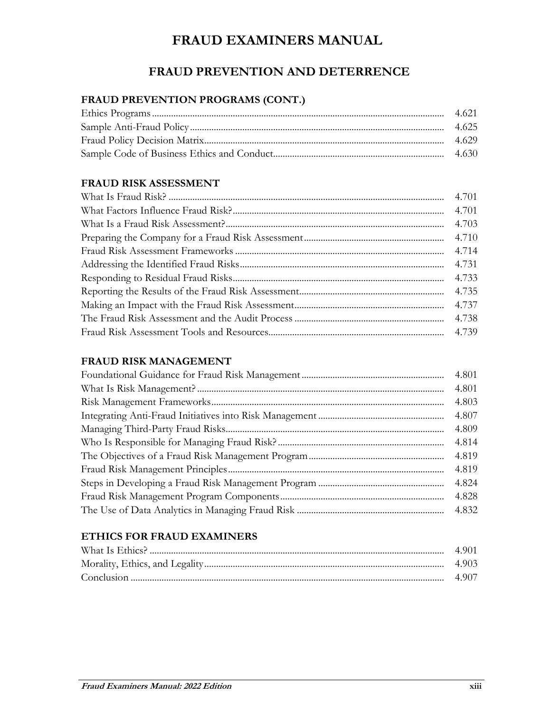## **FRAUD PREVENTION AND DETERRENCE**

## **FRAUD PREVENTION PROGRAMS (CONT.)**

#### **FRAUD RISK ASSESSMENT**

| 4.701 |
|-------|
| 4.701 |
| 4.703 |
| 4.710 |
| 4.714 |
| 4.731 |
| 4.733 |
| 4.735 |
| 4.737 |
|       |
|       |

#### **FRAUD RISK MANAGEMENT**

| 4.801 |
|-------|
| 4.801 |
| 4.803 |
| 4.807 |
| 4.809 |
| 4.814 |
| 4.819 |
| 4.819 |
| 4.824 |
| 4.828 |
|       |

#### **ETHICS FOR FRAUD EXAMINERS**